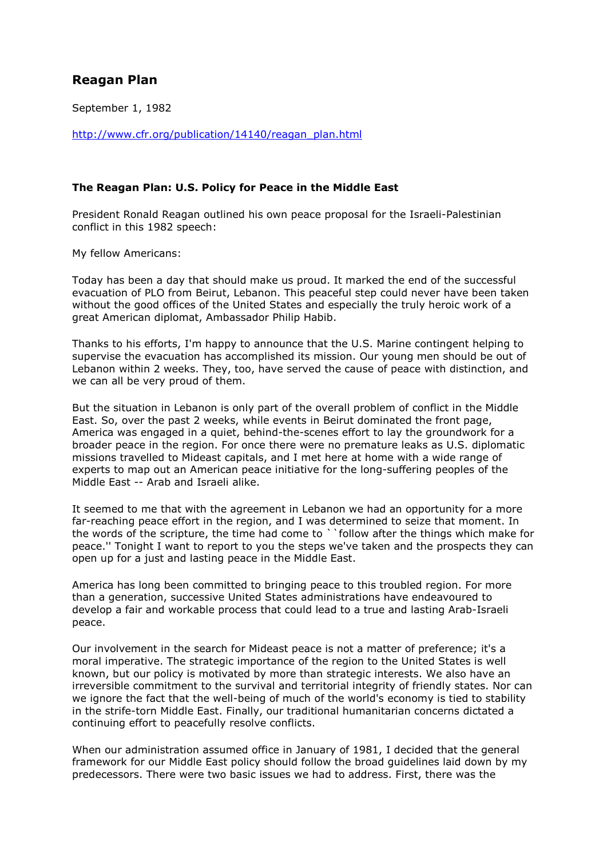## **Reagan Plan**

September 1, 1982

http://www.cfr.org/publication/14140/reagan\_plan.html

## **The Reagan Plan: U.S. Policy for Peace in the Middle East**

President Ronald Reagan outlined his own peace proposal for the Israeli-Palestinian conflict in this 1982 speech:

My fellow Americans:

Today has been a day that should make us proud. It marked the end of the successful evacuation of PLO from Beirut, Lebanon. This peaceful step could never have been taken without the good offices of the United States and especially the truly heroic work of a great American diplomat, Ambassador Philip Habib.

Thanks to his efforts, I'm happy to announce that the U.S. Marine contingent helping to supervise the evacuation has accomplished its mission. Our young men should be out of Lebanon within 2 weeks. They, too, have served the cause of peace with distinction, and we can all be very proud of them.

But the situation in Lebanon is only part of the overall problem of conflict in the Middle East. So, over the past 2 weeks, while events in Beirut dominated the front page, America was engaged in a quiet, behind-the-scenes effort to lay the groundwork for a broader peace in the region. For once there were no premature leaks as U.S. diplomatic missions travelled to Mideast capitals, and I met here at home with a wide range of experts to map out an American peace initiative for the long-suffering peoples of the Middle East -- Arab and Israeli alike.

It seemed to me that with the agreement in Lebanon we had an opportunity for a more far-reaching peace effort in the region, and I was determined to seize that moment. In the words of the scripture, the time had come to ``follow after the things which make for peace.'' Tonight I want to report to you the steps we've taken and the prospects they can open up for a just and lasting peace in the Middle East.

America has long been committed to bringing peace to this troubled region. For more than a generation, successive United States administrations have endeavoured to develop a fair and workable process that could lead to a true and lasting Arab-Israeli peace.

Our involvement in the search for Mideast peace is not a matter of preference; it's a moral imperative. The strategic importance of the region to the United States is well known, but our policy is motivated by more than strategic interests. We also have an irreversible commitment to the survival and territorial integrity of friendly states. Nor can we ignore the fact that the well-being of much of the world's economy is tied to stability in the strife-torn Middle East. Finally, our traditional humanitarian concerns dictated a continuing effort to peacefully resolve conflicts.

When our administration assumed office in January of 1981, I decided that the general framework for our Middle East policy should follow the broad guidelines laid down by my predecessors. There were two basic issues we had to address. First, there was the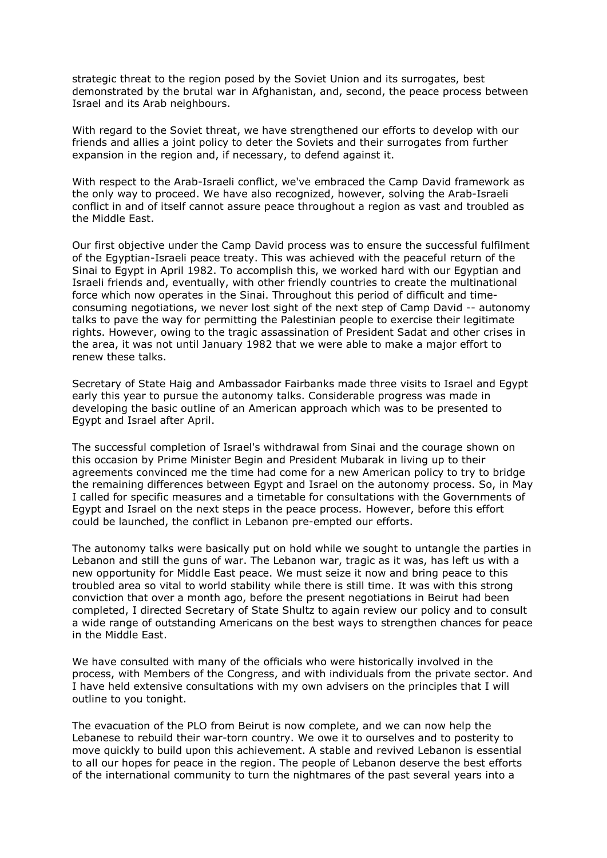strategic threat to the region posed by the Soviet Union and its surrogates, best demonstrated by the brutal war in Afghanistan, and, second, the peace process between Israel and its Arab neighbours.

With regard to the Soviet threat, we have strengthened our efforts to develop with our friends and allies a joint policy to deter the Soviets and their surrogates from further expansion in the region and, if necessary, to defend against it.

With respect to the Arab-Israeli conflict, we've embraced the Camp David framework as the only way to proceed. We have also recognized, however, solving the Arab-Israeli conflict in and of itself cannot assure peace throughout a region as vast and troubled as the Middle East.

Our first objective under the Camp David process was to ensure the successful fulfilment of the Egyptian-Israeli peace treaty. This was achieved with the peaceful return of the Sinai to Egypt in April 1982. To accomplish this, we worked hard with our Egyptian and Israeli friends and, eventually, with other friendly countries to create the multinational force which now operates in the Sinai. Throughout this period of difficult and timeconsuming negotiations, we never lost sight of the next step of Camp David -- autonomy talks to pave the way for permitting the Palestinian people to exercise their legitimate rights. However, owing to the tragic assassination of President Sadat and other crises in the area, it was not until January 1982 that we were able to make a major effort to renew these talks.

Secretary of State Haig and Ambassador Fairbanks made three visits to Israel and Egypt early this year to pursue the autonomy talks. Considerable progress was made in developing the basic outline of an American approach which was to be presented to Egypt and Israel after April.

The successful completion of Israel's withdrawal from Sinai and the courage shown on this occasion by Prime Minister Begin and President Mubarak in living up to their agreements convinced me the time had come for a new American policy to try to bridge the remaining differences between Egypt and Israel on the autonomy process. So, in May I called for specific measures and a timetable for consultations with the Governments of Egypt and Israel on the next steps in the peace process. However, before this effort could be launched, the conflict in Lebanon pre-empted our efforts.

The autonomy talks were basically put on hold while we sought to untangle the parties in Lebanon and still the guns of war. The Lebanon war, tragic as it was, has left us with a new opportunity for Middle East peace. We must seize it now and bring peace to this troubled area so vital to world stability while there is still time. It was with this strong conviction that over a month ago, before the present negotiations in Beirut had been completed, I directed Secretary of State Shultz to again review our policy and to consult a wide range of outstanding Americans on the best ways to strengthen chances for peace in the Middle East.

We have consulted with many of the officials who were historically involved in the process, with Members of the Congress, and with individuals from the private sector. And I have held extensive consultations with my own advisers on the principles that I will outline to you tonight.

The evacuation of the PLO from Beirut is now complete, and we can now help the Lebanese to rebuild their war-torn country. We owe it to ourselves and to posterity to move quickly to build upon this achievement. A stable and revived Lebanon is essential to all our hopes for peace in the region. The people of Lebanon deserve the best efforts of the international community to turn the nightmares of the past several years into a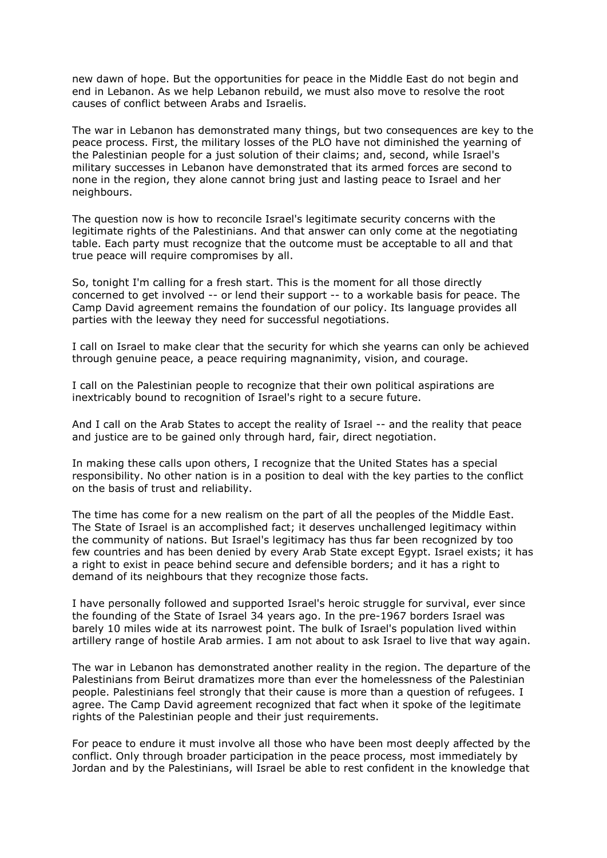new dawn of hope. But the opportunities for peace in the Middle East do not begin and end in Lebanon. As we help Lebanon rebuild, we must also move to resolve the root causes of conflict between Arabs and Israelis.

The war in Lebanon has demonstrated many things, but two consequences are key to the peace process. First, the military losses of the PLO have not diminished the yearning of the Palestinian people for a just solution of their claims; and, second, while Israel's military successes in Lebanon have demonstrated that its armed forces are second to none in the region, they alone cannot bring just and lasting peace to Israel and her neighbours.

The question now is how to reconcile Israel's legitimate security concerns with the legitimate rights of the Palestinians. And that answer can only come at the negotiating table. Each party must recognize that the outcome must be acceptable to all and that true peace will require compromises by all.

So, tonight I'm calling for a fresh start. This is the moment for all those directly concerned to get involved -- or lend their support -- to a workable basis for peace. The Camp David agreement remains the foundation of our policy. Its language provides all parties with the leeway they need for successful negotiations.

I call on Israel to make clear that the security for which she yearns can only be achieved through genuine peace, a peace requiring magnanimity, vision, and courage.

I call on the Palestinian people to recognize that their own political aspirations are inextricably bound to recognition of Israel's right to a secure future.

And I call on the Arab States to accept the reality of Israel -- and the reality that peace and justice are to be gained only through hard, fair, direct negotiation.

In making these calls upon others, I recognize that the United States has a special responsibility. No other nation is in a position to deal with the key parties to the conflict on the basis of trust and reliability.

The time has come for a new realism on the part of all the peoples of the Middle East. The State of Israel is an accomplished fact; it deserves unchallenged legitimacy within the community of nations. But Israel's legitimacy has thus far been recognized by too few countries and has been denied by every Arab State except Egypt. Israel exists; it has a right to exist in peace behind secure and defensible borders; and it has a right to demand of its neighbours that they recognize those facts.

I have personally followed and supported Israel's heroic struggle for survival, ever since the founding of the State of Israel 34 years ago. In the pre-1967 borders Israel was barely 10 miles wide at its narrowest point. The bulk of Israel's population lived within artillery range of hostile Arab armies. I am not about to ask Israel to live that way again.

The war in Lebanon has demonstrated another reality in the region. The departure of the Palestinians from Beirut dramatizes more than ever the homelessness of the Palestinian people. Palestinians feel strongly that their cause is more than a question of refugees. I agree. The Camp David agreement recognized that fact when it spoke of the legitimate rights of the Palestinian people and their just requirements.

For peace to endure it must involve all those who have been most deeply affected by the conflict. Only through broader participation in the peace process, most immediately by Jordan and by the Palestinians, will Israel be able to rest confident in the knowledge that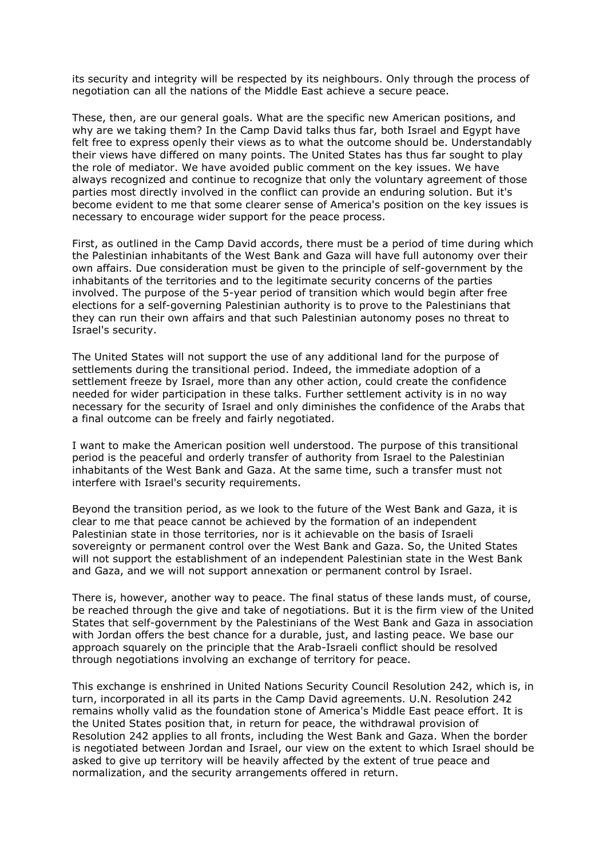its security and integrity will be respected by its neighbours. Only through the process of negotiation can all the nations of the Middle East achieve a secure peace.

These, then, are our general goals. What are the specific new American positions, and why are we taking them? In the Camp David talks thus far, both Israel and Egypt have felt free to express openly their views as to what the outcome should be. Understandably their views have differed on many points. The United States has thus far sought to play the role of mediator. We have avoided public comment on the key issues. We have always recognized and continue to recognize that only the voluntary agreement of those parties most directly involved in the conflict can provide an enduring solution. But it's become evident to me that some clearer sense of America's position on the key issues is necessary to encourage wider support for the peace process.

First, as outlined in the Camp David accords, there must be a period of time during which the Palestinian inhabitants of the West Bank and Gaza will have full autonomy over their own affairs. Due consideration must be given to the principle of self-government by the inhabitants of the territories and to the legitimate security concerns of the parties involved. The purpose of the 5-year period of transition which would begin after free elections for a self-governing Palestinian authority is to prove to the Palestinians that they can run their own affairs and that such Palestinian autonomy poses no threat to Israel's security.

The United States will not support the use of any additional land for the purpose of settlements during the transitional period. Indeed, the immediate adoption of a settlement freeze by Israel, more than any other action, could create the confidence needed for wider participation in these talks. Further settlement activity is in no way necessary for the security of Israel and only diminishes the confidence of the Arabs that a final outcome can be freely and fairly negotiated.

I want to make the American position well understood. The purpose of this transitional period is the peaceful and orderly transfer of authority from Israel to the Palestinian inhabitants of the West Bank and Gaza. At the same time, such a transfer must not interfere with Israel's security requirements.

Beyond the transition period, as we look to the future of the West Bank and Gaza, it is clear to me that peace cannot be achieved by the formation of an independent Palestinian state in those territories, nor is it achievable on the basis of Israeli sovereignty or permanent control over the West Bank and Gaza. So, the United States will not support the establishment of an independent Palestinian state in the West Bank and Gaza, and we will not support annexation or permanent control by Israel.

There is, however, another way to peace. The final status of these lands must, of course, be reached through the give and take of negotiations. But it is the firm view of the United States that self-government by the Palestinians of the West Bank and Gaza in association with Jordan offers the best chance for a durable, just, and lasting peace. We base our approach squarely on the principle that the Arab-Israeli conflict should be resolved through negotiations involving an exchange of territory for peace.

This exchange is enshrined in United Nations Security Council Resolution 242, which is, in turn, incorporated in all its parts in the Camp David agreements. U.N. Resolution 242 remains wholly valid as the foundation stone of America's Middle East peace effort. It is the United States position that, in return for peace, the withdrawal provision of Resolution 242 applies to all fronts, including the West Bank and Gaza. When the border is negotiated between Jordan and Israel, our view on the extent to which Israel should be asked to give up territory will be heavily affected by the extent of true peace and normalization, and the security arrangements offered in return.